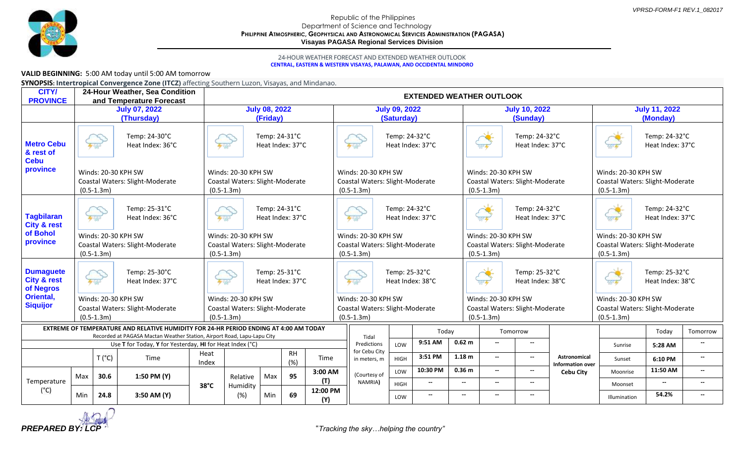

## Republic of the Philippines Department of Science and Technology **PHILIPPINE ATMOSPHERIC, GEOPHYSICAL AND ASTRONOMICAL SERVICES ADMINISTRATION (PAGASA) Visayas PAGASA Regional Services Division**

## 24-HOUR WEATHER FORECAST AND EXTENDED WEATHER OUTLOOK **CENTRAL, EASTERN & WESTERN VISAYAS, PALAWAN, AND OCCIDENTAL MINDORO**

## **VALID BEGINNING:** 5:00 AM today until 5:00 AM tomorrow

**SYNOPSIS: Intertropical Convergence Zone (ITCZ)** affecting Southern Luzon, Visayas, and Mindanao.

| <b>CITY/</b><br><b>PROVINCE</b>                           | 24-Hour Weather, Sea Condition<br><b>EXTENDED WEATHER OUTLOOK</b><br>and Temperature Forecast                                                                    |                                           |                                                          |                |                                                                        |     |                                   |                                                                          |                                                                          |                                    |                                                                        |                                                                        |                                                                        |                                                                        |                                                                        |                                                                        |                                   |                     |                                      |                                                      |
|-----------------------------------------------------------|------------------------------------------------------------------------------------------------------------------------------------------------------------------|-------------------------------------------|----------------------------------------------------------|----------------|------------------------------------------------------------------------|-----|-----------------------------------|--------------------------------------------------------------------------|--------------------------------------------------------------------------|------------------------------------|------------------------------------------------------------------------|------------------------------------------------------------------------|------------------------------------------------------------------------|------------------------------------------------------------------------|------------------------------------------------------------------------|------------------------------------------------------------------------|-----------------------------------|---------------------|--------------------------------------|------------------------------------------------------|
|                                                           | <b>July 07, 2022</b><br>(Thursday)                                                                                                                               |                                           |                                                          |                | <b>July 08, 2022</b><br>(Friday)                                       |     |                                   |                                                                          |                                                                          | <b>July 09, 2022</b><br>(Saturday) |                                                                        |                                                                        |                                                                        | <b>July 10, 2022</b><br>(Sunday)                                       |                                                                        |                                                                        | <b>July 11, 2022</b><br>(Monday)  |                     |                                      |                                                      |
| <b>Metro Cebu</b><br>& rest of<br><b>Cebu</b><br>province |                                                                                                                                                                  |                                           | Temp: 24-30°C<br>Heat Index: 36°C                        |                |                                                                        |     | Temp: 24-31°C<br>Heat Index: 37°C |                                                                          |                                                                          |                                    | Temp: 24-32°C<br>Heat Index: 37°C                                      |                                                                        |                                                                        |                                                                        | $\frac{1}{2}$                                                          | Temp: 24-32°C<br>Heat Index: 37°C                                      |                                   | 23.4                | Temp: 24-32°C<br>Heat Index: 37°C    |                                                      |
|                                                           | Winds: 20-30 KPH SW<br>Coastal Waters: Slight-Moderate<br>$(0.5-1.3m)$                                                                                           |                                           |                                                          |                | Winds: 20-30 KPH SW<br>Coastal Waters: Slight-Moderate<br>$(0.5-1.3m)$ |     |                                   | Winds: 20-30 KPH SW<br>Coastal Waters: Slight-Moderate<br>$(0.5 - 1.3m)$ |                                                                          |                                    | Winds: 20-30 KPH SW<br>Coastal Waters: Slight-Moderate<br>$(0.5-1.3m)$ |                                                                        |                                                                        | Winds: 20-30 KPH SW<br>Coastal Waters: Slight-Moderate<br>$(0.5-1.3m)$ |                                                                        |                                                                        |                                   |                     |                                      |                                                      |
| <b>Tagbilaran</b><br><b>City &amp; rest</b>               |                                                                                                                                                                  | 4.40                                      | Temp: 25-31°C<br>Heat Index: 36°C                        |                | Temp: 24-31°C<br>4.40<br>Heat Index: 37°C                              |     |                                   | 4.40                                                                     | Temp: 24-32°C<br>Heat Index: 37°C                                        |                                    |                                                                        |                                                                        | Temp: 24-32°C<br>Heat Index: 37°C<br>0.604                             |                                                                        |                                                                        | Temp: 24-32°C<br>Heat Index: 37°C<br>334                               |                                   |                     |                                      |                                                      |
| of Bohol<br>province                                      | Winds: 20-30 KPH SW<br>Coastal Waters: Slight-Moderate<br>$(0.5-1.3m)$                                                                                           |                                           |                                                          |                | Winds: 20-30 KPH SW<br>Coastal Waters: Slight-Moderate<br>$(0.5-1.3m)$ |     |                                   |                                                                          | Winds: 20-30 KPH SW<br>Coastal Waters: Slight-Moderate<br>$(0.5-1.3m)$   |                                    |                                                                        | Winds: 20-30 KPH SW<br>Coastal Waters: Slight-Moderate<br>$(0.5-1.3m)$ |                                                                        |                                                                        | Winds: 20-30 KPH SW<br>Coastal Waters: Slight-Moderate<br>$(0.5-1.3m)$ |                                                                        |                                   |                     |                                      |                                                      |
| <b>Dumaguete</b><br><b>City &amp; rest</b><br>of Negros   |                                                                                                                                                                  | Temp: 25-30°C<br>4.40<br>Heat Index: 37°C |                                                          |                | Temp: 25-31°C<br>4.40<br>Heat Index: 37°C                              |     |                                   |                                                                          | Temp: 25-32°C<br>Heat Index: 38°C<br>4.40                                |                                    |                                                                        |                                                                        | Temp: 25-32°C<br>Heat Index: 38°C<br>0.001                             |                                                                        |                                                                        | 334.45                                                                 | Temp: 25-32°C<br>Heat Index: 38°C |                     |                                      |                                                      |
| Oriental,<br><b>Siquijor</b>                              | Winds: 20-30 KPH SW<br>Coastal Waters: Slight-Moderate<br>$(0.5-1.3m)$                                                                                           |                                           |                                                          |                | Winds: 20-30 KPH SW<br>Coastal Waters: Slight-Moderate<br>$(0.5-1.3m)$ |     |                                   |                                                                          | Winds: 20-30 KPH SW<br>Coastal Waters: Slight-Moderate<br>$(0.5 - 1.3m)$ |                                    |                                                                        |                                                                        | Winds: 20-30 KPH SW<br>Coastal Waters: Slight-Moderate<br>$(0.5-1.3m)$ |                                                                        |                                                                        | Winds: 20-30 KPH SW<br>Coastal Waters: Slight-Moderate<br>$(0.5-1.3m)$ |                                   |                     |                                      |                                                      |
|                                                           | EXTREME OF TEMPERATURE AND RELATIVE HUMIDITY FOR 24-HR PERIOD ENDING AT 4:00 AM TODAY<br>Recorded at PAGASA Mactan Weather Station, Airport Road, Lapu-Lapu City |                                           |                                                          |                |                                                                        |     |                                   |                                                                          |                                                                          | Tidal                              |                                                                        | Today                                                                  |                                                                        |                                                                        | Tomorrow                                                               |                                                                        |                                   |                     | Today                                | Tomorrow                                             |
|                                                           |                                                                                                                                                                  |                                           | Use T for Today, Y for Yesterday, HI for Heat Index (°C) |                |                                                                        |     |                                   |                                                                          |                                                                          | Predictions                        | LOW                                                                    | 9:51 AM                                                                |                                                                        | 0.62 <sub>m</sub>                                                      |                                                                        | $\overline{\phantom{a}}$                                               |                                   | Sunrise             | 5:28 AM                              |                                                      |
|                                                           |                                                                                                                                                                  | $T(^{\circ}C)$<br>Time                    | Heat<br>Index                                            |                | <b>RH</b><br>(%)                                                       |     | Time                              |                                                                          | for Cebu City<br>in meters, m                                            | <b>HIGH</b>                        | 3:51 PM                                                                |                                                                        | 1.18 <sub>m</sub>                                                      | $\overline{\phantom{a}}$                                               | $\overline{\phantom{a}}$                                               | Astronomical<br><b>Information over</b>                                | Sunset                            | 6:10 PM             | $\overline{\phantom{a}}$             |                                                      |
| Temperature                                               | Max                                                                                                                                                              | 30.6                                      | 1:50 PM (Y)                                              | $38^{\circ}$ C | Relative                                                               | Max | 95                                | 3:00 AM<br>(T)                                                           |                                                                          | (Courtesy of<br>NAMRIA)            | LOW<br>HIGH                                                            | 10:30 PM<br>$\overline{\phantom{a}}$                                   |                                                                        | 0.36 <sub>m</sub><br>$\overline{\phantom{a}}$                          | $\overline{\phantom{a}}$<br>$\overline{\phantom{a}}$                   | $\overline{\phantom{a}}$<br>$\overline{\phantom{a}}$                   | <b>Cebu City</b>                  | Moonrise<br>Moonset | 11:50 AM<br>$\overline{\phantom{a}}$ | $\overline{\phantom{a}}$<br>$\overline{\phantom{a}}$ |
| $(^{\circ}C)$                                             | Min                                                                                                                                                              | 24.8                                      | 3:50 AM (Y)                                              |                | Humidity<br>(%)                                                        | Min | 69                                | 12:00 PM<br>(Y)                                                          |                                                                          |                                    | LOW                                                                    | $\overline{\phantom{a}}$                                               |                                                                        | $\overline{\phantom{a}}$                                               | $-$                                                                    | $\overline{\phantom{a}}$                                               |                                   | Illumination        | 54.2%                                | $\overline{\phantom{a}}$                             |

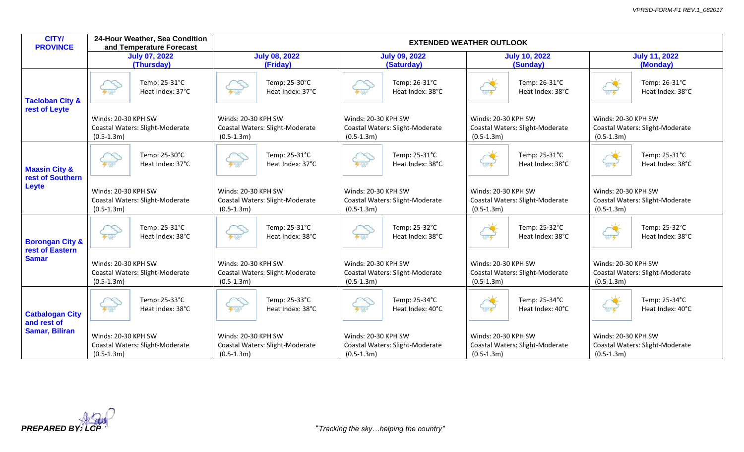| <b>CITY/</b><br><b>PROVINCE</b>                                |                                                                        | 24-Hour Weather, Sea Condition<br>and Temperature Forecast | <b>EXTENDED WEATHER OUTLOOK</b>                                          |                                   |                                       |                                    |                                       |                                   |                                                                        |                                   |  |
|----------------------------------------------------------------|------------------------------------------------------------------------|------------------------------------------------------------|--------------------------------------------------------------------------|-----------------------------------|---------------------------------------|------------------------------------|---------------------------------------|-----------------------------------|------------------------------------------------------------------------|-----------------------------------|--|
|                                                                | <b>July 07, 2022</b><br>(Thursday)                                     |                                                            |                                                                          | <b>July 08, 2022</b><br>(Friday)  |                                       | <b>July 09, 2022</b><br>(Saturday) |                                       | <b>July 10, 2022</b><br>(Sunday)  | <b>July 11, 2022</b><br>(Monday)                                       |                                   |  |
| <b>Tacloban City &amp;</b><br>rest of Leyte                    | 4.40                                                                   | Temp: 25-31°C<br>Heat Index: 37°C                          | 4.40                                                                     | Temp: 25-30°C<br>Heat Index: 37°C | 4.40                                  | Temp: 26-31°C<br>Heat Index: 38°C  | 0.804                                 | Temp: 26-31°C<br>Heat Index: 38°C | 0.804                                                                  | Temp: 26-31°C<br>Heat Index: 38°C |  |
|                                                                | Winds: 20-30 KPH SW<br>Coastal Waters: Slight-Moderate<br>$(0.5-1.3m)$ |                                                            | Winds: 20-30 KPH SW<br>Coastal Waters: Slight-Moderate<br>$(0.5-1.3m)$   |                                   | Winds: 20-30 KPH SW<br>$(0.5-1.3m)$   | Coastal Waters: Slight-Moderate    | Winds: 20-30 KPH SW<br>$(0.5-1.3m)$   | Coastal Waters: Slight-Moderate   | Winds: 20-30 KPH SW<br>Coastal Waters: Slight-Moderate<br>$(0.5-1.3m)$ |                                   |  |
| <b>Maasin City &amp;</b><br>rest of Southern<br>Leyte          | 4.40                                                                   | Temp: 25-30°C<br>Heat Index: 37°C                          | 4.40                                                                     | Temp: 25-31°C<br>Heat Index: 37°C | 4.40                                  | Temp: 25-31°C<br>Heat Index: 38°C  | $0.80 -$                              | Temp: 25-31°C<br>Heat Index: 38°C | $0.80 - 4$                                                             | Temp: 25-31°C<br>Heat Index: 38°C |  |
|                                                                | Winds: 20-30 KPH SW<br>Coastal Waters: Slight-Moderate<br>$(0.5-1.3m)$ |                                                            | Winds: 20-30 KPH SW<br>Coastal Waters: Slight-Moderate<br>$(0.5 - 1.3m)$ |                                   | Winds: 20-30 KPH SW<br>$(0.5 - 1.3m)$ | Coastal Waters: Slight-Moderate    | Winds: 20-30 KPH SW<br>$(0.5 - 1.3m)$ | Coastal Waters: Slight-Moderate   | Winds: 20-30 KPH SW<br>Coastal Waters: Slight-Moderate<br>$(0.5-1.3m)$ |                                   |  |
| <b>Borongan City &amp;</b><br>rest of Eastern<br><b>Samar</b>  | $\left( \frac{1}{2} \right)$                                           | Temp: 25-31°C<br>Heat Index: 38°C                          | 4.40                                                                     | Temp: 25-31°C<br>Heat Index: 38°C | 4.40                                  | Temp: 25-32°C<br>Heat Index: 38°C  | $0.80 -$                              | Temp: 25-32°C<br>Heat Index: 38°C | $0.80 -$                                                               | Temp: 25-32°C<br>Heat Index: 38°C |  |
|                                                                | Winds: 20-30 KPH SW<br>Coastal Waters: Slight-Moderate<br>$(0.5-1.3m)$ |                                                            | Winds: 20-30 KPH SW<br>Coastal Waters: Slight-Moderate<br>$(0.5-1.3m)$   |                                   | Winds: 20-30 KPH SW<br>$(0.5-1.3m)$   | Coastal Waters: Slight-Moderate    | Winds: 20-30 KPH SW<br>$(0.5-1.3m)$   | Coastal Waters: Slight-Moderate   | Winds: 20-30 KPH SW<br>Coastal Waters: Slight-Moderate<br>$(0.5-1.3m)$ |                                   |  |
| <b>Catbalogan City</b><br>and rest of<br><b>Samar, Biliran</b> | 4.40                                                                   | Temp: 25-33°C<br>Heat Index: 38°C                          | 4.40                                                                     | Temp: 25-33°C<br>Heat Index: 38°C | 4.40                                  | Temp: 25-34°C<br>Heat Index: 40°C  | $980 -$                               | Temp: 25-34°C<br>Heat Index: 40°C | $\frac{1}{\sqrt{2}}$                                                   | Temp: 25-34°C<br>Heat Index: 40°C |  |
|                                                                | Winds: 20-30 KPH SW<br>Coastal Waters: Slight-Moderate<br>$(0.5-1.3m)$ |                                                            | Winds: 20-30 KPH SW<br>Coastal Waters: Slight-Moderate<br>$(0.5-1.3m)$   |                                   | Winds: 20-30 KPH SW<br>$(0.5-1.3m)$   | Coastal Waters: Slight-Moderate    | Winds: 20-30 KPH SW<br>$(0.5-1.3m)$   | Coastal Waters: Slight-Moderate   | Winds: 20-30 KPH SW<br>Coastal Waters: Slight-Moderate<br>$(0.5-1.3m)$ |                                   |  |

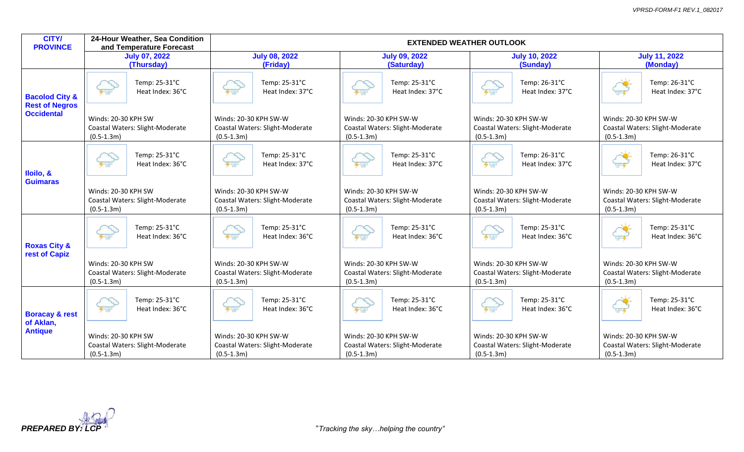| <b>CITY/</b><br><b>PROVINCE</b>                                         | 24-Hour Weather, Sea Condition<br>and Temperature Forecast             | <b>EXTENDED WEATHER OUTLOOK</b>                                          |                                                                            |                                                                          |                                                                          |  |  |  |  |  |
|-------------------------------------------------------------------------|------------------------------------------------------------------------|--------------------------------------------------------------------------|----------------------------------------------------------------------------|--------------------------------------------------------------------------|--------------------------------------------------------------------------|--|--|--|--|--|
|                                                                         | <b>July 07, 2022</b><br>(Thursday)                                     | <b>July 08, 2022</b><br>(Friday)                                         | <b>July 09, 2022</b><br>(Saturday)                                         | <b>July 10, 2022</b><br>(Sunday)                                         | <b>July 11, 2022</b><br>(Monday)                                         |  |  |  |  |  |
| <b>Bacolod City &amp;</b><br><b>Rest of Negros</b><br><b>Occidental</b> | Temp: 25-31°C<br>Heat Index: 36°C                                      | Temp: 25-31°C<br>440<br>Heat Index: 37°C                                 | Temp: 25-31°C<br>Heat Index: 37°C<br>4.40                                  | Temp: 26-31°C<br>400<br>Heat Index: 37°C                                 | Temp: 26-31°C<br>Heat Index: 37°C<br>0.604                               |  |  |  |  |  |
|                                                                         | Winds: 20-30 KPH SW<br>Coastal Waters: Slight-Moderate<br>$(0.5-1.3m)$ | Winds: 20-30 KPH SW-W<br>Coastal Waters: Slight-Moderate<br>$(0.5-1.3m)$ | Winds: 20-30 KPH SW-W<br>Coastal Waters: Slight-Moderate<br>$(0.5-1.3m)$   | Winds: 20-30 KPH SW-W<br>Coastal Waters: Slight-Moderate<br>$(0.5-1.3m)$ | Winds: 20-30 KPH SW-W<br>Coastal Waters: Slight-Moderate<br>$(0.5-1.3m)$ |  |  |  |  |  |
| lloilo, &<br><b>Guimaras</b>                                            | Temp: 25-31°C<br>4.44<br>Heat Index: 36°C                              | Temp: 25-31°C<br>4.40<br>Heat Index: 37°C                                | Temp: 25-31°C<br>4.40<br>Heat Index: 37°C                                  | Temp: 26-31°C<br>700<br>Heat Index: 37°C                                 | Temp: 26-31°C<br>0.004<br>Heat Index: 37°C                               |  |  |  |  |  |
|                                                                         | Winds: 20-30 KPH SW<br>Coastal Waters: Slight-Moderate<br>$(0.5-1.3m)$ | Winds: 20-30 KPH SW-W<br>Coastal Waters: Slight-Moderate<br>$(0.5-1.3m)$ | Winds: 20-30 KPH SW-W<br>Coastal Waters: Slight-Moderate<br>$(0.5 - 1.3m)$ | Winds: 20-30 KPH SW-W<br>Coastal Waters: Slight-Moderate<br>$(0.5-1.3m)$ | Winds: 20-30 KPH SW-W<br>Coastal Waters: Slight-Moderate<br>$(0.5-1.3m)$ |  |  |  |  |  |
| <b>Roxas City &amp;</b>                                                 | Temp: 25-31°C<br>4.40<br>Heat Index: 36°C                              | Temp: 25-31°C<br>$\sum_{\mathbf{y}}$<br>Heat Index: 36°C                 | Temp: 25-31°C<br>4.40<br>Heat Index: 36°C                                  | Temp: 25-31°C<br>Heat Index: 36°C<br>700                                 | Temp: 25-31°C<br>0404<br>Heat Index: 36°C                                |  |  |  |  |  |
| rest of Capiz                                                           | Winds: 20-30 KPH SW<br>Coastal Waters: Slight-Moderate<br>$(0.5-1.3m)$ | Winds: 20-30 KPH SW-W<br>Coastal Waters: Slight-Moderate<br>$(0.5-1.3m)$ | Winds: 20-30 KPH SW-W<br>Coastal Waters: Slight-Moderate<br>$(0.5-1.3m)$   | Winds: 20-30 KPH SW-W<br>Coastal Waters: Slight-Moderate<br>$(0.5-1.3m)$ | Winds: 20-30 KPH SW-W<br>Coastal Waters: Slight-Moderate<br>$(0.5-1.3m)$ |  |  |  |  |  |
| <b>Boracay &amp; rest</b><br>of Aklan,<br><b>Antique</b>                | Temp: 25-31°C<br>Heat Index: 36°C<br>4.44                              | Temp: 25-31°C<br>4.40<br>Heat Index: 36°C                                | Temp: 25-31°C<br>Heat Index: 36°C<br>4.40                                  | Temp: 25-31°C<br>400<br>Heat Index: 36°C                                 | Temp: 25-31°C<br>Heat Index: 36°C<br>0.604                               |  |  |  |  |  |
|                                                                         | Winds: 20-30 KPH SW<br>Coastal Waters: Slight-Moderate<br>$(0.5-1.3m)$ | Winds: 20-30 KPH SW-W<br>Coastal Waters: Slight-Moderate<br>$(0.5-1.3m)$ | Winds: 20-30 KPH SW-W<br>Coastal Waters: Slight-Moderate<br>$(0.5-1.3m)$   | Winds: 20-30 KPH SW-W<br>Coastal Waters: Slight-Moderate<br>$(0.5-1.3m)$ | Winds: 20-30 KPH SW-W<br>Coastal Waters: Slight-Moderate<br>$(0.5-1.3m)$ |  |  |  |  |  |

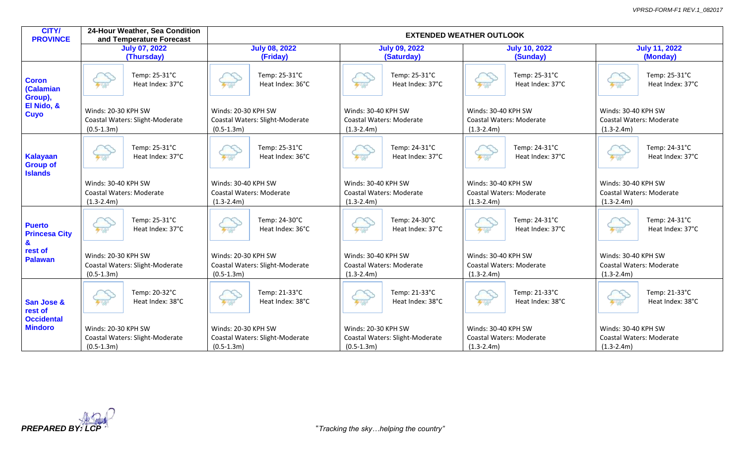| <b>CITY/</b><br><b>PROVINCE</b>                                   |                                                                        | 24-Hour Weather, Sea Condition<br>and Temperature Forecast | <b>EXTENDED WEATHER OUTLOOK</b>                                          |                                   |                                       |                                   |                                       |                                   |                                                                          |                                   |  |
|-------------------------------------------------------------------|------------------------------------------------------------------------|------------------------------------------------------------|--------------------------------------------------------------------------|-----------------------------------|---------------------------------------|-----------------------------------|---------------------------------------|-----------------------------------|--------------------------------------------------------------------------|-----------------------------------|--|
|                                                                   |                                                                        | <b>July 07, 2022</b>                                       |                                                                          | <b>July 08, 2022</b>              |                                       | <b>July 09, 2022</b>              |                                       | <b>July 10, 2022</b>              | <b>July 11, 2022</b>                                                     |                                   |  |
|                                                                   | (Thursday)                                                             |                                                            | (Friday)                                                                 |                                   |                                       | (Saturday)                        |                                       | (Sunday)                          | (Monday)                                                                 |                                   |  |
| <b>Coron</b><br>(Calamian<br>Group),<br>El Nido, &<br><b>Cuyo</b> | 440                                                                    | Temp: 25-31°C<br>Heat Index: 37°C                          | 4.40                                                                     | Temp: 25-31°C<br>Heat Index: 36°C | 4.40                                  | Temp: 25-31°C<br>Heat Index: 37°C |                                       | Temp: 25-31°C<br>Heat Index: 37°C |                                                                          | Temp: 25-31°C<br>Heat Index: 37°C |  |
|                                                                   | Winds: 20-30 KPH SW<br>$(0.5-1.3m)$                                    | Coastal Waters: Slight-Moderate                            | Winds: 20-30 KPH SW<br>Coastal Waters: Slight-Moderate<br>$(0.5 - 1.3m)$ |                                   | Winds: 30-40 KPH SW<br>$(1.3 - 2.4m)$ | Coastal Waters: Moderate          | Winds: 30-40 KPH SW<br>$(1.3 - 2.4m)$ | <b>Coastal Waters: Moderate</b>   | Winds: 30-40 KPH SW<br><b>Coastal Waters: Moderate</b><br>$(1.3 - 2.4m)$ |                                   |  |
| <b>Kalayaan</b><br><b>Group of</b><br><b>Islands</b>              | 4.40                                                                   | Temp: 25-31°C<br>Heat Index: 37°C                          | 4.40                                                                     | Temp: 25-31°C<br>Heat Index: 36°C | 4.40                                  | Temp: 24-31°C<br>Heat Index: 37°C | 4.40                                  | Temp: 24-31°C<br>Heat Index: 37°C | 4.40                                                                     | Temp: 24-31°C<br>Heat Index: 37°C |  |
|                                                                   | Winds: 30-40 KPH SW<br>Coastal Waters: Moderate<br>$(1.3-2.4m)$        |                                                            | Winds: 30-40 KPH SW<br>Coastal Waters: Moderate<br>$(1.3 - 2.4m)$        |                                   | Winds: 30-40 KPH SW<br>$(1.3 - 2.4m)$ | Coastal Waters: Moderate          | Winds: 30-40 KPH SW<br>$(1.3 - 2.4m)$ | Coastal Waters: Moderate          | Winds: 30-40 KPH SW<br>Coastal Waters: Moderate<br>$(1.3 - 2.4m)$        |                                   |  |
| <b>Puerto</b><br><b>Princesa City</b>                             | $+$ 30                                                                 | Temp: 25-31°C<br>Heat Index: 37°C                          | 4.40                                                                     | Temp: 24-30°C<br>Heat Index: 36°C | $\sum_{n=1}^{\infty}$                 | Temp: 24-30°C<br>Heat Index: 37°C |                                       | Temp: 24-31°C<br>Heat Index: 37°C | 4.40                                                                     | Temp: 24-31°C<br>Heat Index: 37°C |  |
| $\mathbf{a}$<br>rest of<br><b>Palawan</b>                         | Winds: 20-30 KPH SW<br>Coastal Waters: Slight-Moderate<br>$(0.5-1.3m)$ |                                                            | Winds: 20-30 KPH SW<br>Coastal Waters: Slight-Moderate<br>$(0.5-1.3m)$   |                                   | Winds: 30-40 KPH SW<br>$(1.3 - 2.4m)$ | Coastal Waters: Moderate          | Winds: 30-40 KPH SW<br>$(1.3 - 2.4m)$ | Coastal Waters: Moderate          | Winds: 30-40 KPH SW<br>Coastal Waters: Moderate<br>$(1.3-2.4m)$          |                                   |  |
| San Jose &<br>rest of<br><b>Occidental</b><br><b>Mindoro</b>      | 4.40                                                                   | Temp: 20-32°C<br>Heat Index: 38°C                          | 4.40                                                                     | Temp: 21-33°C<br>Heat Index: 38°C | 4.40                                  | Temp: 21-33°C<br>Heat Index: 38°C | 专项                                    | Temp: 21-33°C<br>Heat Index: 38°C | 专项                                                                       | Temp: 21-33°C<br>Heat Index: 38°C |  |
|                                                                   | Winds: 20-30 KPH SW<br>Coastal Waters: Slight-Moderate<br>$(0.5-1.3m)$ |                                                            | Winds: 20-30 KPH SW<br>Coastal Waters: Slight-Moderate<br>$(0.5 - 1.3m)$ |                                   | Winds: 20-30 KPH SW<br>$(0.5-1.3m)$   | Coastal Waters: Slight-Moderate   | Winds: 30-40 KPH SW<br>$(1.3 - 2.4m)$ | <b>Coastal Waters: Moderate</b>   | Winds: 30-40 KPH SW<br><b>Coastal Waters: Moderate</b><br>$(1.3-2.4m)$   |                                   |  |